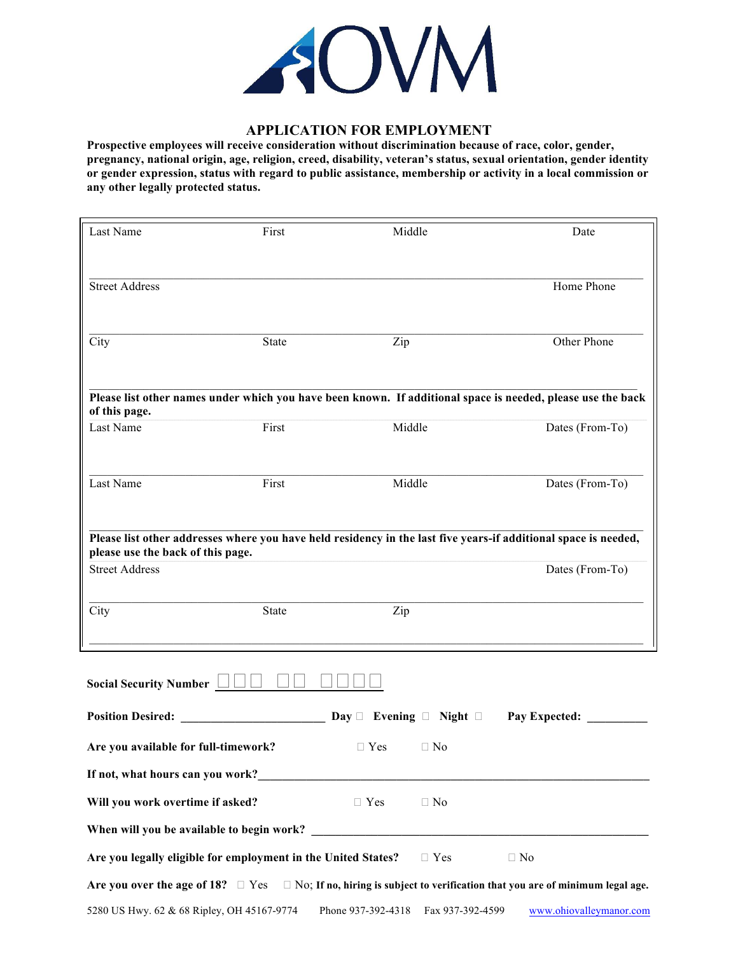

### **APPLICATION FOR EMPLOYMENT**

**Prospective employees will receive consideration without discrimination because of race, color, gender, pregnancy, national origin, age, religion, creed, disability, veteran's status, sexual orientation, gender identity or gender expression, status with regard to public assistance, membership or activity in a local commission or any other legally protected status.**

| Last Name                                                     | First        | Middle                                 |                  | Date                                                                                                                               |
|---------------------------------------------------------------|--------------|----------------------------------------|------------------|------------------------------------------------------------------------------------------------------------------------------------|
| <b>Street Address</b>                                         |              |                                        |                  | Home Phone                                                                                                                         |
| City                                                          | <b>State</b> | Zip                                    |                  | Other Phone                                                                                                                        |
| of this page.                                                 |              |                                        |                  | Please list other names under which you have been known. If additional space is needed, please use the back                        |
| Last Name                                                     | First        | Middle                                 |                  | Dates (From-To)                                                                                                                    |
| Last Name                                                     | First        | Middle                                 |                  | Dates (From-To)                                                                                                                    |
| please use the back of this page.<br><b>Street Address</b>    |              |                                        |                  | Please list other addresses where you have held residency in the last five years-if additional space is needed,<br>Dates (From-To) |
|                                                               |              |                                        |                  |                                                                                                                                    |
| City                                                          | <b>State</b> | Zip                                    |                  |                                                                                                                                    |
| <b>Social Security Number</b>                                 |              |                                        |                  |                                                                                                                                    |
| <b>Position Desired:</b>                                      |              | Day $\Box$ Evening $\Box$ Night $\Box$ |                  | Pay Expected:                                                                                                                      |
| Are you available for full-timework?                          |              | $\Box$ Yes                             | $\Box$ No        |                                                                                                                                    |
| If not, what hours can you work?                              |              |                                        |                  |                                                                                                                                    |
| Will you work overtime if asked?                              |              | $\Box$ Yes                             | $\Box$ No        |                                                                                                                                    |
|                                                               |              |                                        |                  |                                                                                                                                    |
| Are you legally eligible for employment in the United States? |              |                                        | $\Box$ Yes       | $\Box$ No                                                                                                                          |
| Are you over the age of 18? $\Box$ Yes                        |              |                                        |                  | $\Box$ No; If no, hiring is subject to verification that you are of minimum legal age.                                             |
| 5280 US Hwy. 62 & 68 Ripley, OH 45167-9774                    |              | Phone 937-392-4318                     | Fax 937-392-4599 | www.ohiovalleymanor.com                                                                                                            |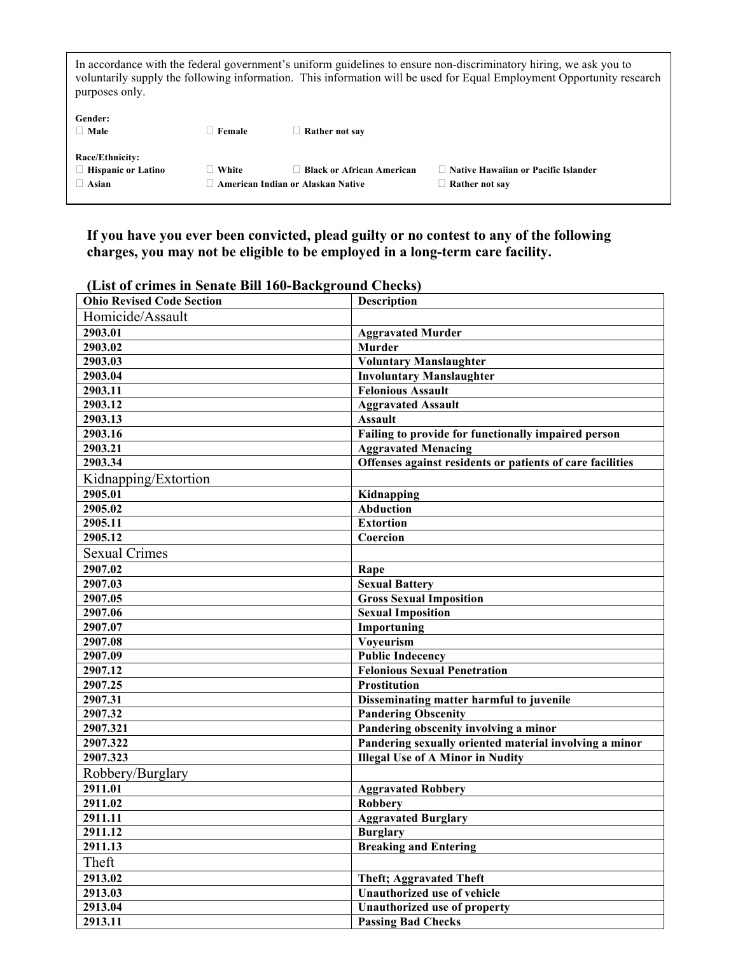| In accordance with the federal government's uniform guidelines to ensure non-discriminatory hiring, we ask you to<br>voluntarily supply the following information. This information will be used for Equal Employment Opportunity research<br>purposes only. |        |                                                                       |                                                         |  |
|--------------------------------------------------------------------------------------------------------------------------------------------------------------------------------------------------------------------------------------------------------------|--------|-----------------------------------------------------------------------|---------------------------------------------------------|--|
| Gender:<br>$\Box$ Male                                                                                                                                                                                                                                       | Female | Rather not say                                                        |                                                         |  |
| Race/Ethnicity:<br>$\Box$ Hispanic or Latino<br>$\Box$ Asian                                                                                                                                                                                                 | White  | <b>Black or African American</b><br>American Indian or Alaskan Native | □ Native Hawaiian or Pacific Islander<br>Rather not say |  |

**If you have you ever been convicted, plead guilty or no contest to any of the following charges, you may not be eligible to be employed in a long-term care facility.** 

| <b>Ohio Revised Code Section</b> | <b>Description</b>                                        |
|----------------------------------|-----------------------------------------------------------|
| Homicide/Assault                 |                                                           |
| 2903.01                          | <b>Aggravated Murder</b>                                  |
| 2903.02                          | <b>Murder</b>                                             |
| 2903.03                          | <b>Voluntary Manslaughter</b>                             |
| 2903.04                          | <b>Involuntary Manslaughter</b>                           |
| 2903.11                          | <b>Felonious Assault</b>                                  |
| 2903.12                          | <b>Aggravated Assault</b>                                 |
| 2903.13                          | <b>Assault</b>                                            |
| 2903.16                          | Failing to provide for functionally impaired person       |
| 2903.21                          | <b>Aggravated Menacing</b>                                |
| 2903.34                          | Offenses against residents or patients of care facilities |
| Kidnapping/Extortion             |                                                           |
| 2905.01                          | Kidnapping                                                |
| 2905.02                          | <b>Abduction</b>                                          |
| 2905.11                          | <b>Extortion</b>                                          |
| 2905.12                          | Coercion                                                  |
| <b>Sexual Crimes</b>             |                                                           |
| 2907.02                          | Rape                                                      |
| 2907.03                          | <b>Sexual Battery</b>                                     |
| 2907.05                          | <b>Gross Sexual Imposition</b>                            |
| 2907.06                          | <b>Sexual Imposition</b>                                  |
| 2907.07                          | Importuning                                               |
| 2907.08                          | Voyeurism                                                 |
| 2907.09                          | <b>Public Indecency</b>                                   |
| 2907.12                          | <b>Felonious Sexual Penetration</b>                       |
| 2907.25                          | <b>Prostitution</b>                                       |
| 2907.31                          | Disseminating matter harmful to juvenile                  |
| 2907.32                          | <b>Pandering Obscenity</b>                                |
| 2907.321                         | Pandering obscenity involving a minor                     |
| 2907.322                         | Pandering sexually oriented material involving a minor    |
| 2907.323                         | <b>Illegal Use of A Minor in Nudity</b>                   |
| Robbery/Burglary                 |                                                           |
| 2911.01                          | <b>Aggravated Robbery</b>                                 |
| 2911.02                          | <b>Robbery</b>                                            |
| 2911.11                          | <b>Aggravated Burglary</b>                                |
| 2911.12                          | <b>Burglary</b>                                           |
| 2911.13                          | <b>Breaking and Entering</b>                              |
| Theft                            |                                                           |
| 2913.02                          | <b>Theft; Aggravated Theft</b>                            |
| 2913.03                          | Unauthorized use of vehicle                               |
| 2913.04                          | <b>Unauthorized use of property</b>                       |
| 2913.11                          | <b>Passing Bad Checks</b>                                 |

**(List of crimes in Senate Bill 160-Background Checks)**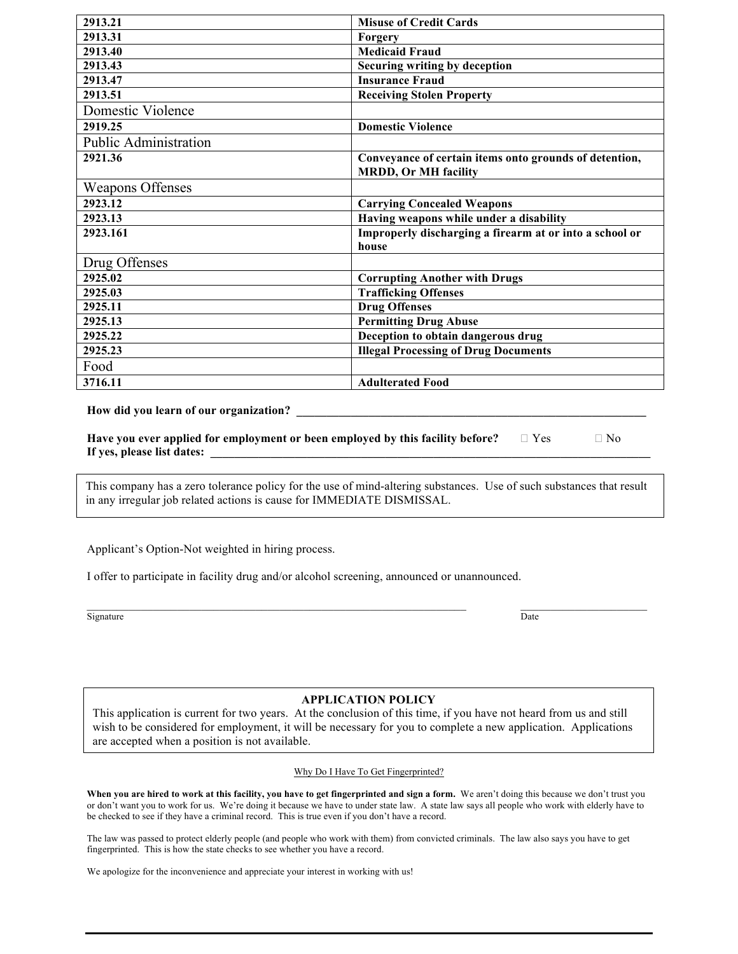| 2913.21                      | <b>Misuse of Credit Cards</b>                                                         |
|------------------------------|---------------------------------------------------------------------------------------|
| 2913.31                      | Forgery                                                                               |
| 2913.40                      | <b>Medicaid Fraud</b>                                                                 |
| 2913.43                      | Securing writing by deception                                                         |
| 2913.47                      | <b>Insurance Fraud</b>                                                                |
| 2913.51                      | <b>Receiving Stolen Property</b>                                                      |
| Domestic Violence            |                                                                                       |
| 2919.25                      | <b>Domestic Violence</b>                                                              |
| <b>Public Administration</b> |                                                                                       |
| 2921.36                      | Conveyance of certain items onto grounds of detention,<br><b>MRDD, Or MH facility</b> |
| <b>Weapons Offenses</b>      |                                                                                       |
| 2923.12                      | <b>Carrying Concealed Weapons</b>                                                     |
| 2923.13                      | Having weapons while under a disability                                               |
| 2923.161                     | Improperly discharging a firearm at or into a school or                               |
|                              | house                                                                                 |
| Drug Offenses                |                                                                                       |
| 2925.02                      | <b>Corrupting Another with Drugs</b>                                                  |
| 2925.03                      | <b>Trafficking Offenses</b>                                                           |
| 2925.11                      | <b>Drug Offenses</b>                                                                  |
| 2925.13                      | <b>Permitting Drug Abuse</b>                                                          |
| 2925.22                      | Deception to obtain dangerous drug                                                    |
| 2925.23                      | <b>Illegal Processing of Drug Documents</b>                                           |
| Food                         |                                                                                       |
| 3716.11                      | <b>Adulterated Food</b>                                                               |

How did you learn of our organization?

**Have you ever applied for employment or been employed by this facility before?**  $\Box$  Yes  $\Box$  No If yes, please list dates:

This company has a zero tolerance policy for the use of mind-altering substances. Use of such substances that result in any irregular job related actions is cause for IMMEDIATE DISMISSAL.

Applicant's Option-Not weighted in hiring process.

I offer to participate in facility drug and/or alcohol screening, announced or unannounced.

Signature Date by the Date of the Contract of the Contract of the Date of the Date of the Date of the Date of the Date of the Date of the Date of the Date of the Date of the Date of the Date of the Date of the Date of the

 $\_$  , and the state of the state of the state of the state of the state of the state of the state of the state of the state of the state of the state of the state of the state of the state of the state of the state of the

#### **APPLICATION POLICY**

This application is current for two years. At the conclusion of this time, if you have not heard from us and still wish to be considered for employment, it will be necessary for you to complete a new application. Applications are accepted when a position is not available.

#### Why Do I Have To Get Fingerprinted?

When you are hired to work at this facility, you have to get fingerprinted and sign a form. We aren't doing this because we don't trust you or don't want you to work for us. We're doing it because we have to under state law. A state law says all people who work with elderly have to be checked to see if they have a criminal record. This is true even if you don't have a record.

The law was passed to protect elderly people (and people who work with them) from convicted criminals. The law also says you have to get fingerprinted. This is how the state checks to see whether you have a record.

We apologize for the inconvenience and appreciate your interest in working with us!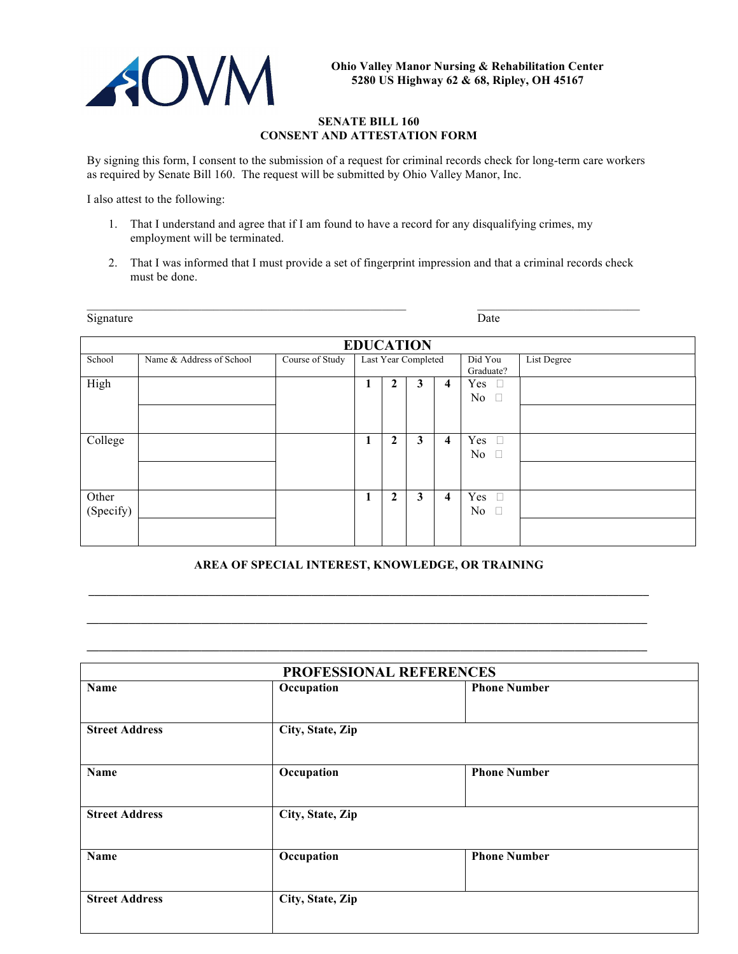

#### **SENATE BILL 160 CONSENT AND ATTESTATION FORM**

By signing this form, I consent to the submission of a request for criminal records check for long-term care workers as required by Senate Bill 160. The request will be submitted by Ohio Valley Manor, Inc.

I also attest to the following:

- 1. That I understand and agree that if I am found to have a record for any disqualifying crimes, my employment will be terminated.
- 2. That I was informed that I must provide a set of fingerprint impression and that a criminal records check must be done.

 $\mathcal{L}_\text{max}$ 

| Signature          |                          |                 |   |                |                     | Date                    |                               |             |
|--------------------|--------------------------|-----------------|---|----------------|---------------------|-------------------------|-------------------------------|-------------|
| <b>EDUCATION</b>   |                          |                 |   |                |                     |                         |                               |             |
| School             | Name & Address of School | Course of Study |   |                | Last Year Completed |                         | Did You<br>Graduate?          | List Degree |
| High               |                          |                 | 1 | $\overline{2}$ | 3                   | $\overline{4}$          | Yes $\square$<br>No $\square$ |             |
| College            |                          |                 | 1 | $\mathbf{2}$   | 3                   | $\overline{\mathbf{4}}$ | Yes $\square$<br>No<br>$\Box$ |             |
| Other<br>(Specify) |                          |                 | 1 | $\mathbf{2}$   | 3                   | $\overline{\mathbf{4}}$ | Yes $\square$<br>No<br>$\Box$ |             |

### **AREA OF SPECIAL INTEREST, KNOWLEDGE, OR TRAINING**

**\_\_\_\_\_\_\_\_\_\_\_\_\_\_\_\_\_\_\_\_\_\_\_\_\_\_\_\_\_\_\_\_\_\_\_\_\_\_\_\_\_\_\_\_\_\_\_\_\_\_\_\_\_\_\_\_\_\_\_\_\_\_\_\_\_\_\_\_\_\_\_\_\_\_\_\_\_\_\_\_\_\_\_\_\_\_\_\_\_\_\_\_\_**

|                       | PROFESSIONAL REFERENCES |                     |  |  |  |
|-----------------------|-------------------------|---------------------|--|--|--|
| Name                  | Occupation              | <b>Phone Number</b> |  |  |  |
| <b>Street Address</b> | City, State, Zip        |                     |  |  |  |
| Name                  | Occupation              | <b>Phone Number</b> |  |  |  |
| <b>Street Address</b> | City, State, Zip        |                     |  |  |  |
| Name                  | Occupation              | <b>Phone Number</b> |  |  |  |
| <b>Street Address</b> | City, State, Zip        |                     |  |  |  |
|                       |                         |                     |  |  |  |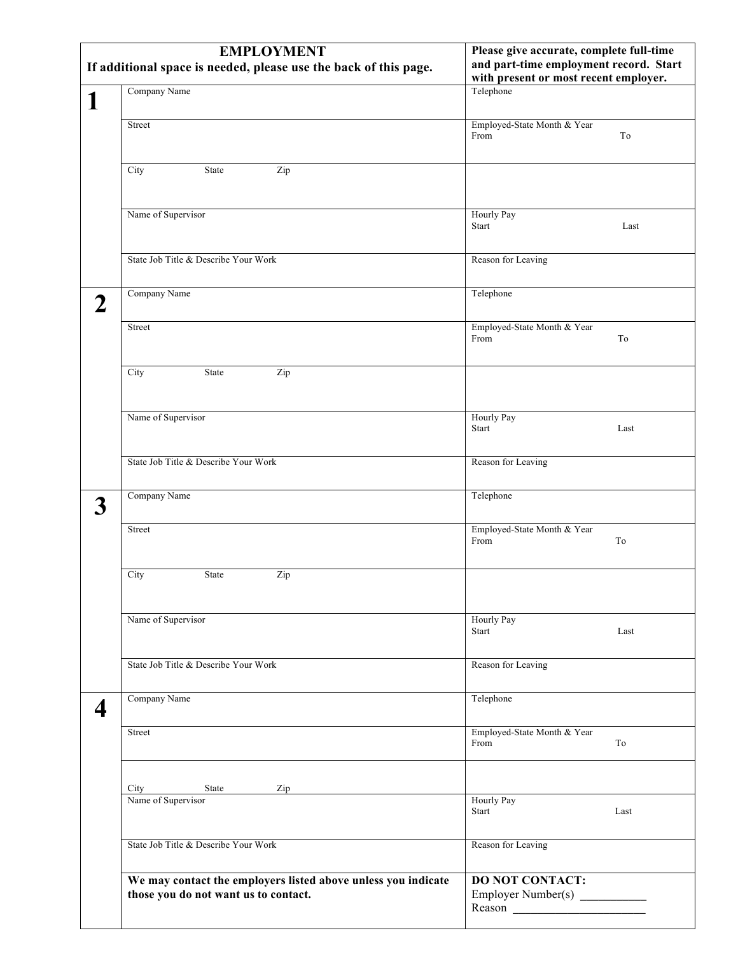|             | Please give accurate, complete full-time<br><b>EMPLOYMENT</b>    |                                        |  |  |  |
|-------------|------------------------------------------------------------------|----------------------------------------|--|--|--|
|             | If additional space is needed, please use the back of this page. | and part-time employment record. Start |  |  |  |
|             |                                                                  | with present or most recent employer.  |  |  |  |
|             | Company Name                                                     | Telephone                              |  |  |  |
| 1           |                                                                  |                                        |  |  |  |
|             | Street                                                           | Employed-State Month & Year            |  |  |  |
|             |                                                                  | From<br>To                             |  |  |  |
|             |                                                                  |                                        |  |  |  |
|             |                                                                  |                                        |  |  |  |
|             | City<br>State<br>Zip                                             |                                        |  |  |  |
|             |                                                                  |                                        |  |  |  |
|             |                                                                  |                                        |  |  |  |
|             | Name of Supervisor                                               | Hourly Pay                             |  |  |  |
|             |                                                                  | Start<br>Last                          |  |  |  |
|             |                                                                  |                                        |  |  |  |
|             | State Job Title & Describe Your Work                             | Reason for Leaving                     |  |  |  |
|             |                                                                  |                                        |  |  |  |
|             | Company Name                                                     | Telephone                              |  |  |  |
| $\mathbf 2$ |                                                                  |                                        |  |  |  |
|             |                                                                  |                                        |  |  |  |
|             | Street                                                           | Employed-State Month & Year            |  |  |  |
|             |                                                                  | From<br>To                             |  |  |  |
|             |                                                                  |                                        |  |  |  |
|             | City<br>State<br>Zip                                             |                                        |  |  |  |
|             |                                                                  |                                        |  |  |  |
|             |                                                                  |                                        |  |  |  |
|             | Name of Supervisor                                               | <b>Hourly Pay</b>                      |  |  |  |
|             |                                                                  | Start<br>Last                          |  |  |  |
|             |                                                                  |                                        |  |  |  |
|             | State Job Title & Describe Your Work                             | Reason for Leaving                     |  |  |  |
|             |                                                                  |                                        |  |  |  |
|             |                                                                  |                                        |  |  |  |
| 3           | Company Name                                                     | Telephone                              |  |  |  |
|             |                                                                  |                                        |  |  |  |
|             | Street                                                           | Employed-State Month & Year            |  |  |  |
|             |                                                                  | From<br>To                             |  |  |  |
|             |                                                                  |                                        |  |  |  |
|             | City<br>State<br>Zip                                             |                                        |  |  |  |
|             |                                                                  |                                        |  |  |  |
|             |                                                                  |                                        |  |  |  |
|             | Name of Supervisor                                               | Hourly Pay                             |  |  |  |
|             |                                                                  | Start<br>Last                          |  |  |  |
|             |                                                                  |                                        |  |  |  |
|             |                                                                  |                                        |  |  |  |
|             | State Job Title & Describe Your Work                             | Reason for Leaving                     |  |  |  |
|             |                                                                  |                                        |  |  |  |
|             | Company Name                                                     | Telephone                              |  |  |  |
| 4           |                                                                  |                                        |  |  |  |
|             | Street                                                           | Employed-State Month & Year            |  |  |  |
|             |                                                                  | From<br>To                             |  |  |  |
|             |                                                                  |                                        |  |  |  |
|             |                                                                  |                                        |  |  |  |
|             | State<br>City<br>Zip                                             |                                        |  |  |  |
|             | Name of Supervisor                                               | Hourly Pay                             |  |  |  |
|             |                                                                  | Start<br>Last                          |  |  |  |
|             |                                                                  |                                        |  |  |  |
|             | State Job Title & Describe Your Work                             |                                        |  |  |  |
|             |                                                                  | Reason for Leaving                     |  |  |  |
|             |                                                                  |                                        |  |  |  |
|             | We may contact the employers listed above unless you indicate    | <b>DO NOT CONTACT:</b>                 |  |  |  |
|             | those you do not want us to contact.                             | Employer Number(s)                     |  |  |  |
|             |                                                                  | Reason                                 |  |  |  |
|             |                                                                  |                                        |  |  |  |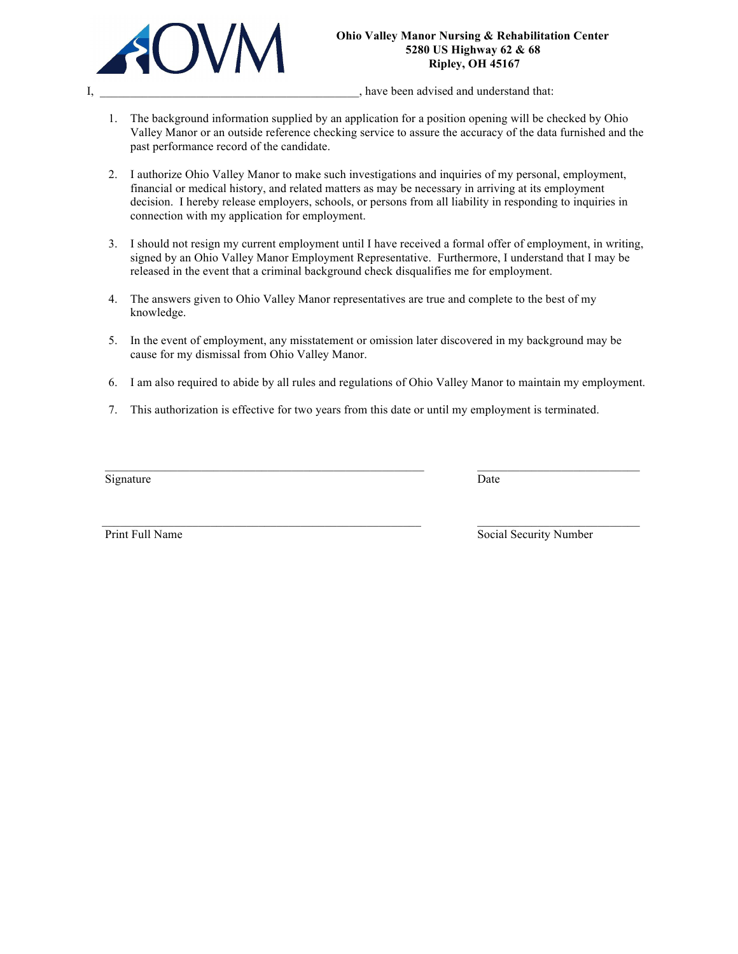

### **Ohio Valley Manor Nursing & Rehabilitation Center 5280 US Highway 62 & 68 Ripley, OH 45167**

- 1. The background information supplied by an application for a position opening will be checked by Ohio Valley Manor or an outside reference checking service to assure the accuracy of the data furnished and the past performance record of the candidate.
- 2. I authorize Ohio Valley Manor to make such investigations and inquiries of my personal, employment, financial or medical history, and related matters as may be necessary in arriving at its employment decision. I hereby release employers, schools, or persons from all liability in responding to inquiries in connection with my application for employment.
- 3. I should not resign my current employment until I have received a formal offer of employment, in writing, signed by an Ohio Valley Manor Employment Representative. Furthermore, I understand that I may be released in the event that a criminal background check disqualifies me for employment.
- 4. The answers given to Ohio Valley Manor representatives are true and complete to the best of my knowledge.
- 5. In the event of employment, any misstatement or omission later discovered in my background may be cause for my dismissal from Ohio Valley Manor.
- 6. I am also required to abide by all rules and regulations of Ohio Valley Manor to maintain my employment.
- 7. This authorization is effective for two years from this date or until my employment is terminated.

\_\_\_\_\_\_\_\_\_\_\_\_\_\_\_\_\_\_\_\_\_\_\_\_\_\_\_\_\_\_\_\_\_\_\_\_\_\_\_\_\_\_\_\_\_\_\_\_\_\_\_\_\_ \_\_\_\_\_\_\_\_\_\_\_\_\_\_\_\_\_\_\_\_\_\_\_\_\_\_\_

Signature Date

Print Full Name Social Security Number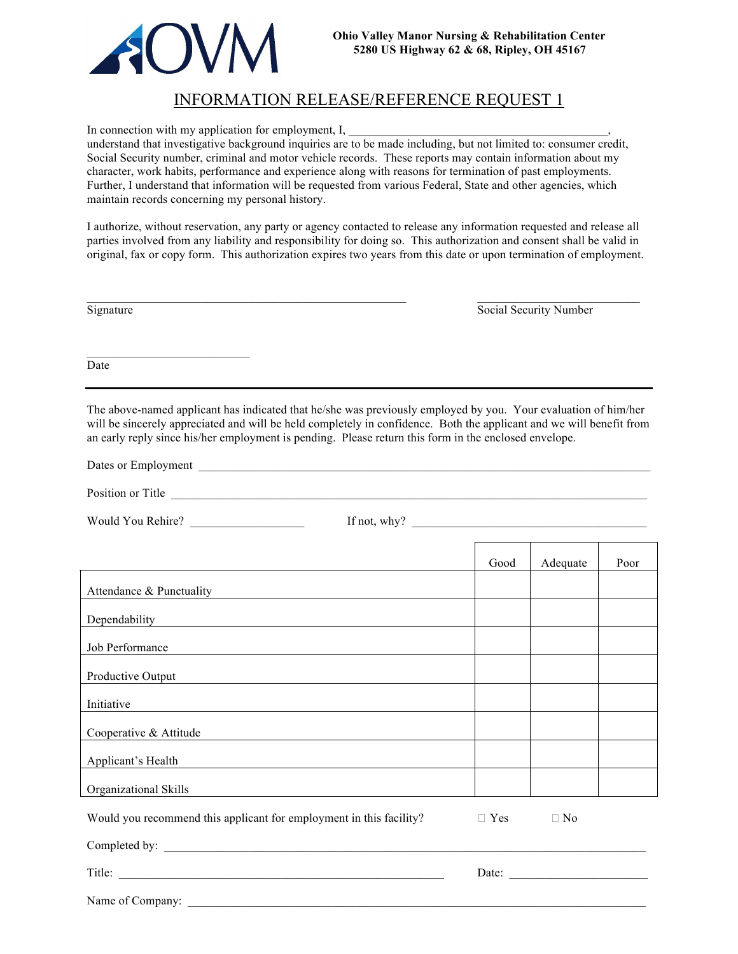

## INFORMATION RELEASE/REFERENCE REQUEST 1

In connection with my application for employment,  $I$ ,

understand that investigative background inquiries are to be made including, but not limited to: consumer credit, Social Security number, criminal and motor vehicle records. These reports may contain information about my character, work habits, performance and experience along with reasons for termination of past employments. Further, I understand that information will be requested from various Federal, State and other agencies, which maintain records concerning my personal history.

I authorize, without reservation, any party or agency contacted to release any information requested and release all parties involved from any liability and responsibility for doing so. This authorization and consent shall be valid in original, fax or copy form. This authorization expires two years from this date or upon termination of employment.

 $\mathcal{L}_\text{max}$ 

 $\mathcal{L}_\text{max}$ 

Signature Social Security Number

Date

The above-named applicant has indicated that he/she was previously employed by you. Your evaluation of him/her will be sincerely appreciated and will be held completely in confidence. Both the applicant and we will benefit from an early reply since his/her employment is pending. Please return this form in the enclosed envelope.

| Dates or Employment      |                              |      |          |      |
|--------------------------|------------------------------|------|----------|------|
| Position or Title        |                              |      |          |      |
|                          | If not, why? $\qquad \qquad$ |      |          |      |
|                          |                              | Good | Adequate | Poor |
| Attendance & Punctuality |                              |      |          |      |
| Dependability            |                              |      |          |      |
| Job Performance          |                              |      |          |      |
| Productive Output        |                              |      |          |      |
| Initiative               |                              |      |          |      |
| Cooperative & Attitude   |                              |      |          |      |
| Applicant's Health       |                              |      |          |      |
| Organizational Skills    |                              |      |          |      |

| Would you recommend this applicant for employment in this facility? | $\top$ Yes | ∃ No |
|---------------------------------------------------------------------|------------|------|
| Completed by:                                                       |            |      |

Title: \_\_\_\_\_\_\_\_\_\_\_\_\_\_\_\_\_\_\_\_\_\_\_\_\_\_\_\_\_\_\_\_\_\_\_\_\_\_\_\_\_\_\_\_\_\_\_\_\_\_\_\_\_\_ Date: \_\_\_\_\_\_\_\_\_\_\_\_\_\_\_\_\_\_\_\_\_\_\_

Name of Company: \_\_\_\_\_\_\_\_\_\_\_\_\_\_\_\_\_\_\_\_\_\_\_\_\_\_\_\_\_\_\_\_\_\_\_\_\_\_\_\_\_\_\_\_\_\_\_\_\_\_\_\_\_\_\_\_\_\_\_\_\_\_\_\_\_\_\_\_\_\_\_\_\_\_\_\_